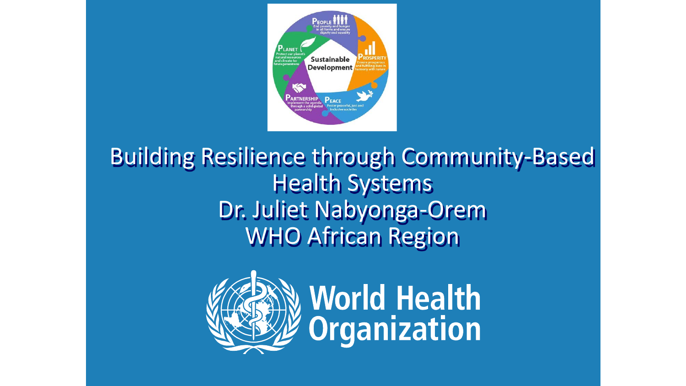

#### Building Resilience through Community-Based Health Systems Dr. Juliet Nabyonga-Orem WHO African Region

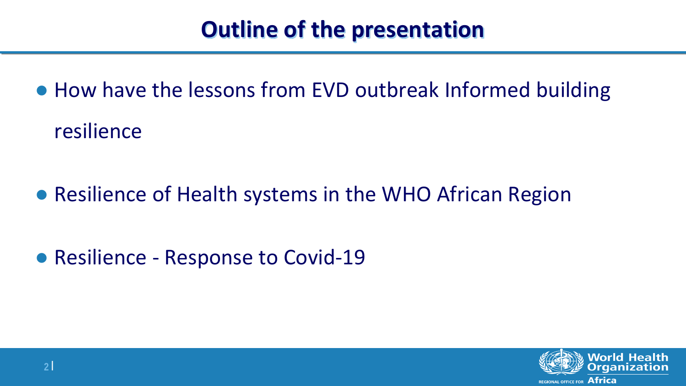## **Outline of the presentation**

● How have the lessons from EVD outbreak Informed building resilience

● Resilience of Health systems in the WHO African Region

● Resilience - Response to Covid-19

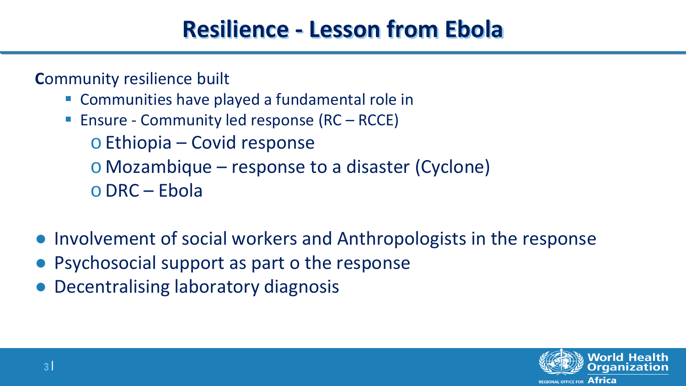## **Resilience - Lesson from Ebola**

**C**ommunity resilience built

- Communities have played a fundamental role in
- Ensure Community led response (RC RCCE) o Ethiopia – Covid response o Mozambique – response to a disaster (Cyclone) oDRC – Ebola
- Involvement of social workers and Anthropologists in the response
- Psychosocial support as part o the response
- **Decentralising laboratory diagnosis**

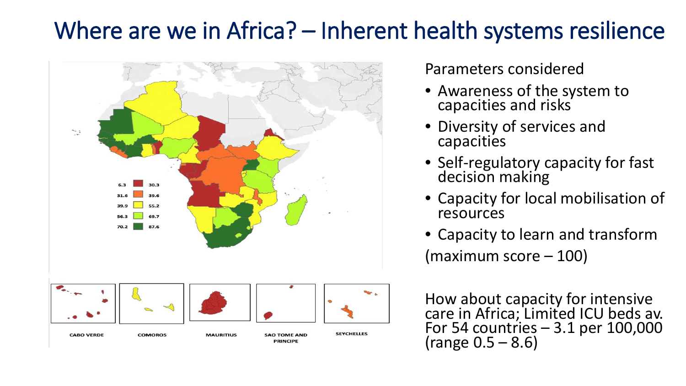### Where are we in Africa? – Inherent health systems resilience



Parameters considered

- Awareness of the system to capacities and risks
- Diversity of services and capacities
- Self-regulatory capacity for fast decision making
- Capacity for local mobilisation of resources
- Capacity to learn and transform (maximum score – 100)

How about capacity for intensive care in Africa; Limited ICU beds av. For 54 countries  $-3.1$  per 100,000 (range  $0.5 - 8.6$ )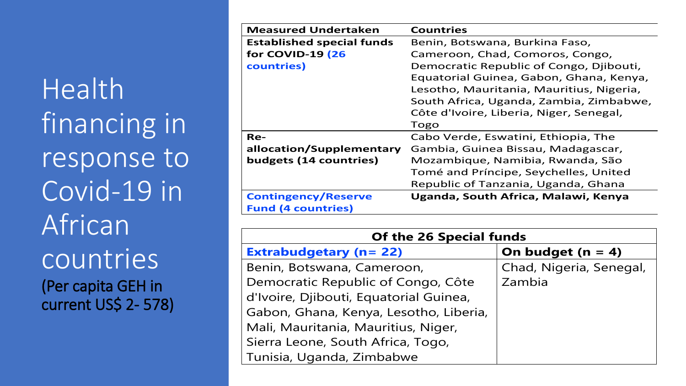Health financing in response to Covid-19 in African countries (Per capita GEH in current US\$ 2- 578)

| <b>Measured Undertaken</b>       | <b>Countries</b>                         |
|----------------------------------|------------------------------------------|
| <b>Established special funds</b> | Benin, Botswana, Burkina Faso,           |
| for COVID-19 (26                 | Cameroon, Chad, Comoros, Congo,          |
| countries)                       | Democratic Republic of Congo, Djibouti,  |
|                                  | Equatorial Guinea, Gabon, Ghana, Kenya,  |
|                                  | Lesotho, Mauritania, Mauritius, Nigeria, |
|                                  | South Africa, Uganda, Zambia, Zimbabwe,  |
|                                  | Côte d'Ivoire, Liberia, Niger, Senegal,  |
|                                  | Togo                                     |
| Re-                              | Cabo Verde, Eswatini, Ethiopia, The      |
| allocation/Supplementary         | Gambia, Guinea Bissau, Madagascar,       |
| budgets (14 countries)           | Mozambique, Namibia, Rwanda, São         |
|                                  | Tomé and Príncipe, Seychelles, United    |
|                                  | Republic of Tanzania, Uganda, Ghana      |
| <b>Contingency/Reserve</b>       | Uganda, South Africa, Malawi, Kenya      |
| <b>Fund (4 countries)</b>        |                                          |

| <b>Of the 26 Special funds</b>         |                         |  |
|----------------------------------------|-------------------------|--|
| <b>Extrabudgetary (n= 22)</b>          | On budget ( $n = 4$ )   |  |
| Benin, Botswana, Cameroon,             | Chad, Nigeria, Senegal, |  |
| Democratic Republic of Congo, Côte     | Zambia                  |  |
| d'Ivoire, Djibouti, Equatorial Guinea, |                         |  |
| Gabon, Ghana, Kenya, Lesotho, Liberia, |                         |  |
| Mali, Mauritania, Mauritius, Niger,    |                         |  |
| Sierra Leone, South Africa, Togo,      |                         |  |
| Tunisia, Uganda, Zimbabwe              |                         |  |